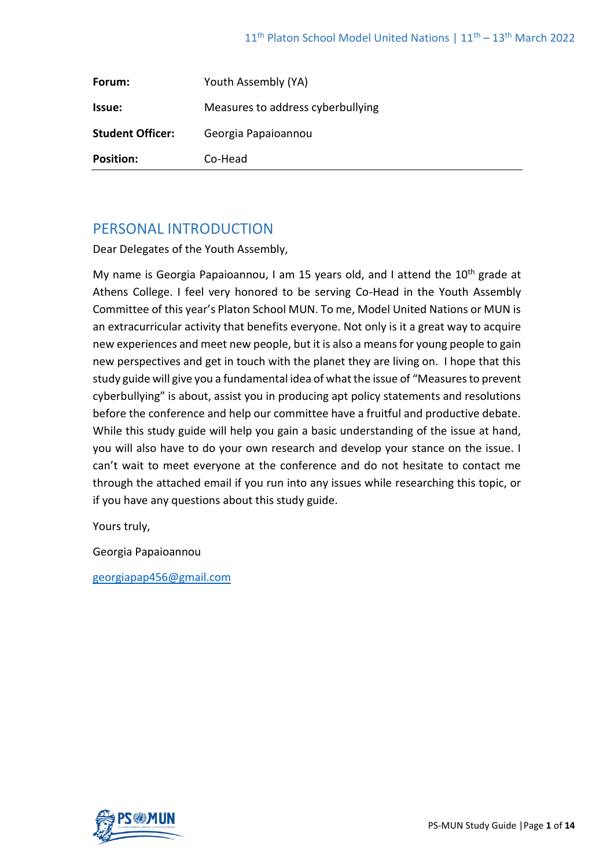| Forum:                  | Youth Assembly (YA)               |
|-------------------------|-----------------------------------|
| <b>Issue:</b>           | Measures to address cyberbullying |
| <b>Student Officer:</b> | Georgia Papaioannou               |
| <b>Position:</b>        | Co-Head                           |

# PERSONAL INTRODUCTION

Dear Delegates of the Youth Assembly,

My name is Georgia Papaioannou, I am 15 years old, and I attend the 10<sup>th</sup> grade at Athens College. I feel very honored to be serving Co-Head in the Youth Assembly Committee of this year's Platon School MUN. To me, Model United Nations or MUN is an extracurricular activity that benefits everyone. Not only is it a great way to acquire new experiences and meet new people, but it is also a means for young people to gain new perspectives and get in touch with the planet they are living on. I hope that this study guide will give you a fundamental idea of what the issue of "Measures to prevent cyberbullying" is about, assist you in producing apt policy statements and resolutions before the conference and help our committee have a fruitful and productive debate. While this study guide will help you gain a basic understanding of the issue at hand, you will also have to do your own research and develop your stance on the issue. I can't wait to meet everyone at the conference and do not hesitate to contact me through the attached email if you run into any issues while researching this topic, or if you have any questions about this study guide.

Yours truly,

Georgia Papaioannou

[georgiapap456@gmail.com](mailto:georgiapap456@gmail.com)

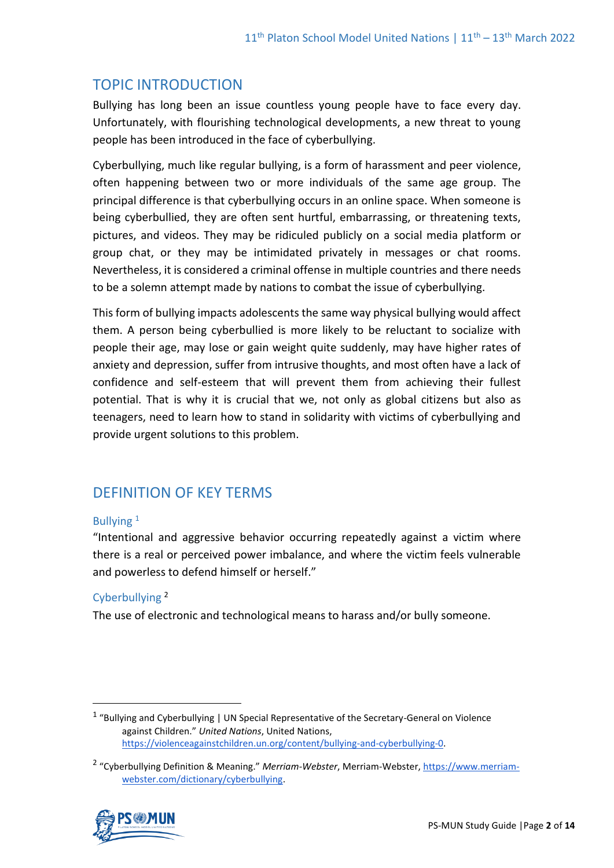# TOPIC INTRODUCTION

Bullying has long been an issue countless young people have to face every day. Unfortunately, with flourishing technological developments, a new threat to young people has been introduced in the face of cyberbullying.

Cyberbullying, much like regular bullying, is a form of harassment and peer violence, often happening between two or more individuals of the same age group. The principal difference is that cyberbullying occurs in an online space. When someone is being cyberbullied, they are often sent hurtful, embarrassing, or threatening texts, pictures, and videos. They may be ridiculed publicly on a social media platform or group chat, or they may be intimidated privately in messages or chat rooms. Nevertheless, it is considered a criminal offense in multiple countries and there needs to be a solemn attempt made by nations to combat the issue of cyberbullying.

This form of bullying impacts adolescents the same way physical bullying would affect them. A person being cyberbullied is more likely to be reluctant to socialize with people their age, may lose or gain weight quite suddenly, may have higher rates of anxiety and depression, suffer from intrusive thoughts, and most often have a lack of confidence and self-esteem that will prevent them from achieving their fullest potential. That is why it is crucial that we, not only as global citizens but also as teenagers, need to learn how to stand in solidarity with victims of cyberbullying and provide urgent solutions to this problem.

# DEFINITION OF KEY TERMS

#### Bullving<sup>1</sup>

"Intentional and aggressive behavior occurring repeatedly against a victim where there is a real or perceived power imbalance, and where the victim feels vulnerable and powerless to defend himself or herself."

## Cyberbullying <sup>2</sup>

The use of electronic and technological means to harass and/or bully someone.

<sup>&</sup>lt;sup>2</sup> "Cyberbullying Definition & Meaning." *Merriam-Webster*, Merriam-Webster[, https://www.merriam](https://www.merriam-webster.com/dictionary/cyberbullying)[webster.com/dictionary/cyberbullying.](https://www.merriam-webster.com/dictionary/cyberbullying) 



<sup>&</sup>lt;sup>1</sup> "Bullying and Cyberbullying | UN Special Representative of the Secretary-General on Violence against Children." *United Nations*, United Nations, [https://violenceagainstchildren.un.org/content/bullying-and-cyberbullying-0.](https://violenceagainstchildren.un.org/content/bullying-and-cyberbullying-0)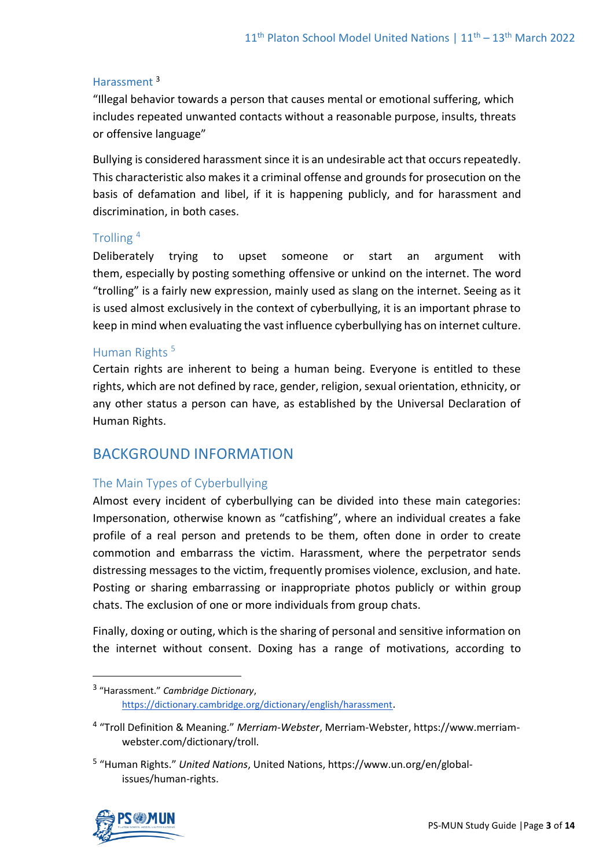#### Harassment <sup>3</sup>

"Illegal behavior towards a person that causes mental or emotional suffering, which includes repeated unwanted contacts without a reasonable purpose, insults, threats or offensive language"

Bullying is considered harassment since it is an undesirable act that occurs repeatedly. This characteristic also makes it a criminal offense and grounds for prosecution on the basis of defamation and libel, if it is happening publicly, and for harassment and discrimination, in both cases.

### Trolling <sup>4</sup>

Deliberately trying to upset someone or start an argument with them, [especially](https://www.collinsdictionary.com/dictionary/english/especially) by [posting](https://www.collinsdictionary.com/dictionary/english/posting) something [offensive](https://www.collinsdictionary.com/dictionary/english/offensive) or [unkind](https://www.collinsdictionary.com/dictionary/english/unkind) on the [internet.](https://www.collinsdictionary.com/dictionary/english/internet) The word "trolling" is a fairly new expression, mainly used as slang on the internet. Seeing as it is used almost exclusively in the context of cyberbullying, it is an important phrase to keep in mind when evaluating the vast influence cyberbullying has on internet culture.

# Human Rights<sup>5</sup>

Certain rights are inherent to being a human being. Everyone is entitled to these rights, which are not defined by race, gender, religion, sexual orientation, ethnicity, or any other status a person can have, as established by the Universal Declaration of Human Rights.

# BACKGROUND INFORMATION

## The Main Types of Cyberbullying

Almost every incident of cyberbullying can be divided into these main categories: Impersonation, otherwise known as "catfishing", where an individual creates a fake profile of a real person and pretends to be them, often done in order to create commotion and embarrass the victim. Harassment, where the perpetrator sends distressing messages to the victim, frequently promises violence, exclusion, and hate. Posting or sharing embarrassing or inappropriate photos publicly or within group chats. The exclusion of one or more individuals from group chats.

Finally, doxing or outing, which is the sharing of personal and sensitive information on the internet without consent. Doxing has a range of motivations, according to

<sup>5</sup> "Human Rights." *United Nations*, United Nations, https://www.un.org/en/globalissues/human-rights.



<sup>3</sup> "Harassment." *Cambridge Dictionary*, <https://dictionary.cambridge.org/dictionary/english/harassment>.

<sup>4</sup> "Troll Definition & Meaning." *Merriam-Webster*, Merriam-Webster, https://www.merriamwebster.com/dictionary/troll.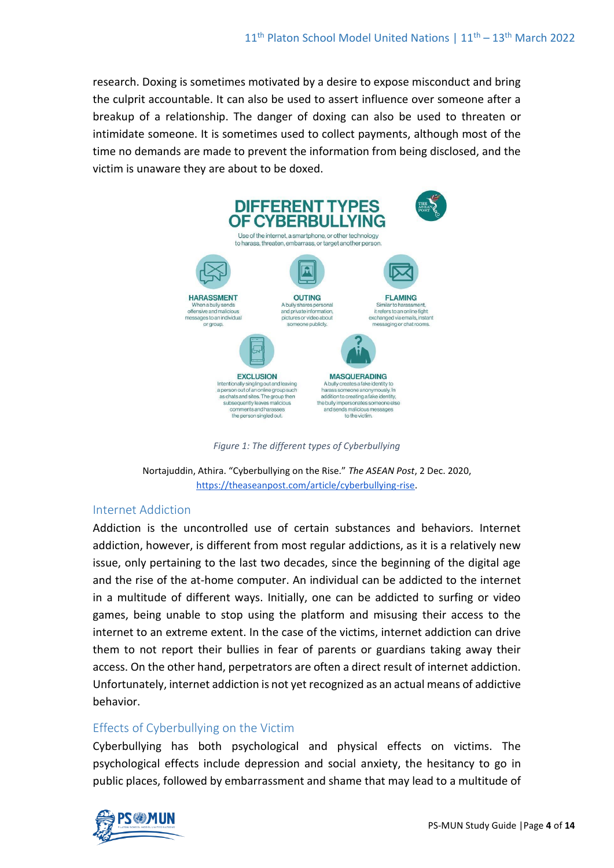research. Doxing is sometimes motivated by a desire to expose misconduct and bring the culprit accountable. It can also be used to assert influence over someone after a breakup of a relationship. The danger of doxing can also be used to threaten or intimidate someone. It is sometimes used to collect payments, although most of the time no demands are made to prevent the information from being disclosed, and the victim is unaware they are about to be doxed.



*Figure 1: The different types of Cyberbullying*

Nortajuddin, Athira. "Cyberbullying on the Rise." *The ASEAN Post*, 2 Dec. 2020, [https://theaseanpost.com/article/cyberbullying-rise.](https://theaseanpost.com/article/cyberbullying-rise) 

#### Internet Addiction

Addiction is the uncontrolled use of certain substances and behaviors. Internet addiction, however, is different from most regular addictions, as it is a relatively new issue, only pertaining to the last two decades, since the beginning of the digital age and the rise of the at-home computer. An individual can be addicted to the internet in a multitude of different ways. Initially, one can be addicted to surfing or video games, being unable to stop using the platform and misusing their access to the internet to an extreme extent. In the case of the victims, internet addiction can drive them to not report their bullies in fear of parents or guardians taking away their access. On the other hand, perpetrators are often a direct result of internet addiction. Unfortunately, internet addiction is not yet recognized as an actual means of addictive behavior.

## Effects of Cyberbullying on the Victim

Cyberbullying has both psychological and physical effects on victims. The psychological effects include depression and social anxiety, the hesitancy to go in public places, followed by embarrassment and shame that may lead to a multitude of

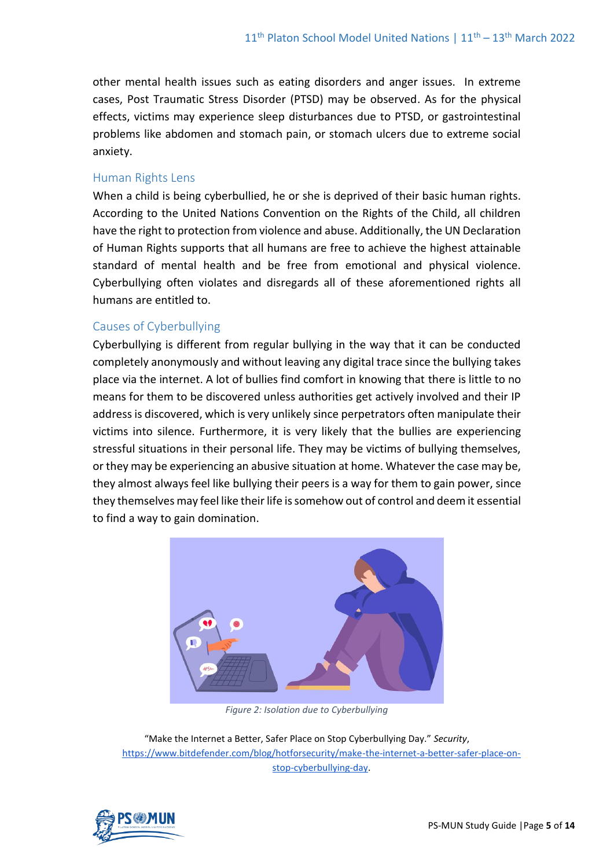other mental health issues such as eating disorders and anger issues. In extreme cases, Post Traumatic Stress Disorder (PTSD) may be observed. As for the physical effects, victims may experience sleep disturbances due to PTSD, or gastrointestinal problems like abdomen and stomach pain, or stomach ulcers due to extreme social anxiety.

#### Human Rights Lens

When a child is being cyberbullied, he or she is deprived of their basic human rights. According to the United Nations Convention on the Rights of the Child, all children have the right to protection from violence and abuse. Additionally, the UN Declaration of Human Rights supports that all humans are free to achieve the highest attainable standard of mental health and be free from emotional and physical violence. Cyberbullying often violates and disregards all of these aforementioned rights all humans are entitled to.

### Causes of Cyberbullying

Cyberbullying is different from regular bullying in the way that it can be conducted completely anonymously and without leaving any digital trace since the bullying takes place via the internet. A lot of bullies find comfort in knowing that there is little to no means for them to be discovered unless authorities get actively involved and their IP address is discovered, which is very unlikely since perpetrators often manipulate their victims into silence. Furthermore, it is very likely that the bullies are experiencing stressful situations in their personal life. They may be victims of bullying themselves, or they may be experiencing an abusive situation at home. Whatever the case may be, they almost always feel like bullying their peers is a way for them to gain power, since they themselves may feel like their life is somehow out of control and deem it essential to find a way to gain domination.



*Figure 2: Isolation due to Cyberbullying*

"Make the Internet a Better, Safer Place on Stop Cyberbullying Day." *Security*, [https://www.bitdefender.com/blog/hotforsecurity/make-the-internet-a-better-safer-place-on](https://www.bitdefender.com/blog/hotforsecurity/make-the-internet-a-better-safer-place-on-stop-cyberbullying-day)[stop-cyberbullying-day.](https://www.bitdefender.com/blog/hotforsecurity/make-the-internet-a-better-safer-place-on-stop-cyberbullying-day)

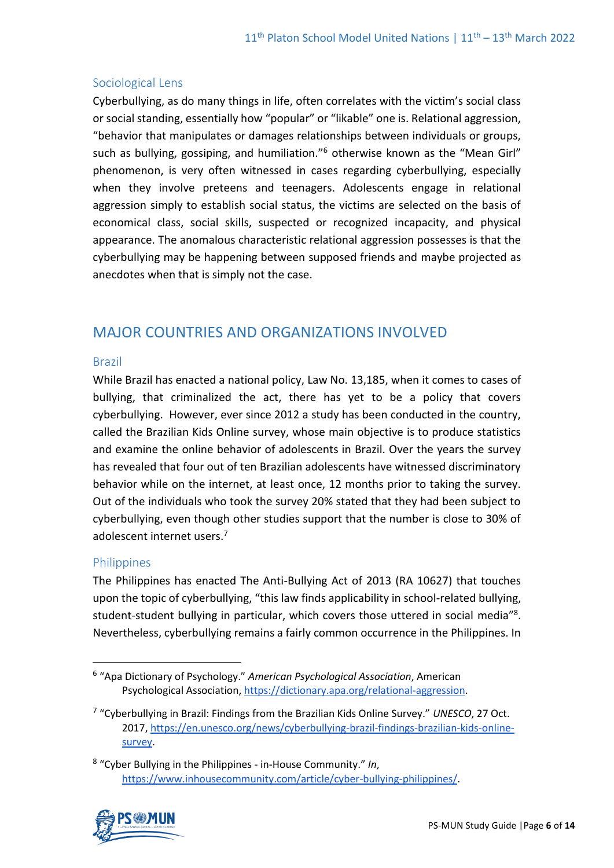### Sociological Lens

Cyberbullying, as do many things in life, often correlates with the victim's social class or social standing, essentially how "popular" or "likable" one is. Relational aggression, "behavior that manipulates or damages relationships between individuals or groups, such as bullying, gossiping, and humiliation."<sup>6</sup> otherwise known as the "Mean Girl" phenomenon, is very often witnessed in cases regarding cyberbullying, especially when they involve preteens and teenagers. Adolescents engage in relational aggression simply to establish social status, the victims are selected on the basis of economical class, social skills, suspected or recognized incapacity, and physical appearance. The anomalous characteristic relational aggression possesses is that the cyberbullying may be happening between supposed friends and maybe projected as anecdotes when that is simply not the case.

# MAJOR COUNTRIES AND ORGANIZATIONS INVOLVED

#### Brazil

While Brazil has enacted a national policy, Law No. 13,185, when it comes to cases of bullying, that criminalized the act, there has yet to be a policy that covers cyberbullying. However, ever since 2012 a study has been conducted in the country, called the Brazilian Kids Online survey, whose main objective is to produce statistics and examine the online behavior of adolescents in Brazil. Over the years the survey has revealed that four out of ten Brazilian adolescents have witnessed discriminatory behavior while on the internet, at least once, 12 months prior to taking the survey. Out of the individuals who took the survey 20% stated that they had been subject to cyberbullying, even though other studies support that the number is close to 30% of adolescent internet users.<sup>7</sup>

#### **Philippines**

The Philippines has enacted The Anti-Bullying Act of 2013 (RA 10627) that touches upon the topic of cyberbullying, "this law finds applicability in school-related bullying, student-student bullying in particular, which covers those uttered in social media<sup>"8</sup>. Nevertheless, cyberbullying remains a fairly common occurrence in the Philippines. In

<sup>8</sup> "Cyber Bullying in the Philippines - in-House Community." *In*, [https://www.inhousecommunity.com/article/cyber-bullying-philippines/.](https://www.inhousecommunity.com/article/cyber-bullying-philippines/)



<sup>6</sup> "Apa Dictionary of Psychology." *American Psychological Association*, American Psychological Association[, https://dictionary.apa.org/relational-aggression.](https://dictionary.apa.org/relational-aggression)

<sup>7</sup> "Cyberbullying in Brazil: Findings from the Brazilian Kids Online Survey." *UNESCO*, 27 Oct. 2017, [https://en.unesco.org/news/cyberbullying-brazil-findings-brazilian-kids-online](https://en.unesco.org/news/cyberbullying-brazil-findings-brazilian-kids-online-survey)[survey.](https://en.unesco.org/news/cyberbullying-brazil-findings-brazilian-kids-online-survey)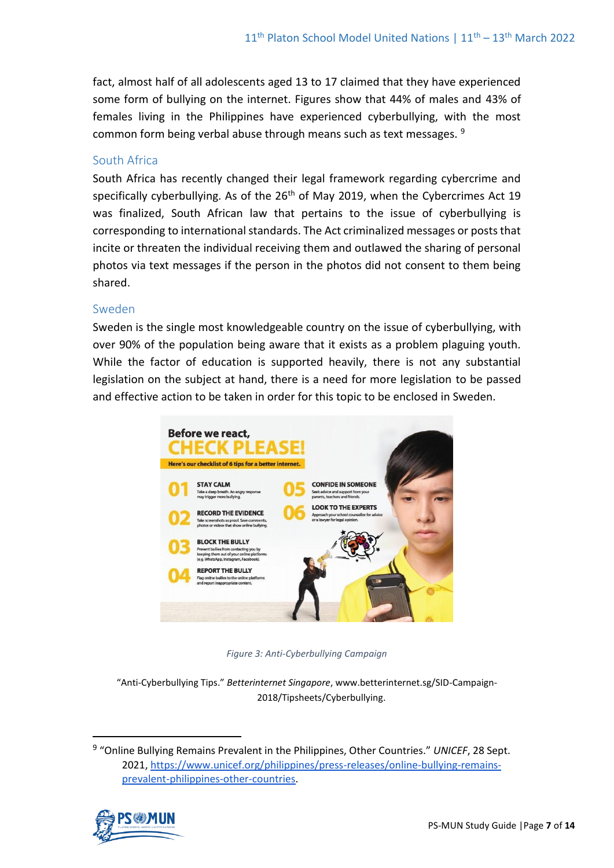fact, almost half of all adolescents aged 13 to 17 claimed that they have experienced some form of bullying on the internet. Figures show that 44% of males and 43% of females living in the Philippines have experienced cyberbullying, with the most common form being verbal abuse through means such as text messages. <sup>9</sup>

### South Africa

South Africa has recently changed their legal framework regarding cybercrime and specifically cyberbullying. As of the 26<sup>th</sup> of May 2019, when the Cybercrimes Act 19 was finalized, South African law that pertains to the issue of cyberbullying is corresponding to international standards. The Act criminalized messages or posts that incite or threaten the individual receiving them and outlawed the sharing of personal photos via text messages if the person in the photos did not consent to them being shared.

#### Sweden

Sweden is the single most knowledgeable country on the issue of cyberbullying, with over 90% of the population being aware that it exists as a problem plaguing youth. While the factor of education is supported heavily, there is not any substantial legislation on the subject at hand, there is a need for more legislation to be passed and effective action to be taken in order for this topic to be enclosed in Sweden.



*Figure 3: Anti-Cyberbullying Campaign* 

"Anti-Cyberbullying Tips." *Betterinternet Singapore*, www.betterinternet.sg/SID-Campaign-2018/Tipsheets/Cyberbullying.

<sup>9</sup> "Online Bullying Remains Prevalent in the Philippines, Other Countries." *UNICEF*, 28 Sept. 2021, [https://www.unicef.org/philippines/press-releases/online-bullying-remains](https://www.unicef.org/philippines/press-releases/online-bullying-remains-prevalent-philippines-other-countries)[prevalent-philippines-other-countries.](https://www.unicef.org/philippines/press-releases/online-bullying-remains-prevalent-philippines-other-countries)

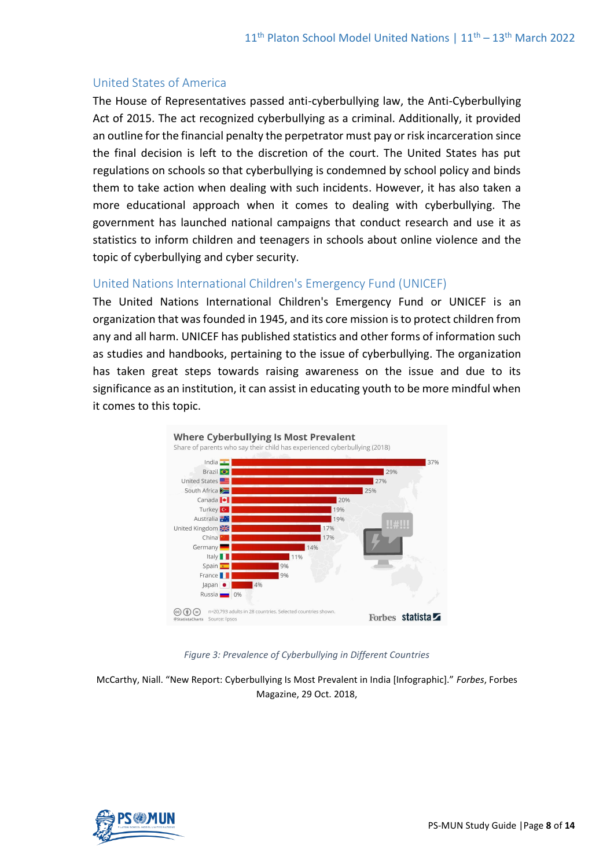#### United States of America

The House of Representatives passed anti-cyberbullying law, the Anti-Cyberbullying Act of 2015. The act recognized cyberbullying as a criminal. Additionally, it provided an outline for the financial penalty the perpetrator must pay or risk incarceration since the final decision is left to the discretion of the court. The United States has put regulations on schools so that cyberbullying is condemned by school policy and binds them to take action when dealing with such incidents. However, it has also taken a more educational approach when it comes to dealing with cyberbullying. The government has launched national campaigns that conduct research and use it as statistics to inform children and teenagers in schools about online violence and the topic of cyberbullying and cyber security.

#### United Nations International Children's Emergency Fund (UNICEF)

The United Nations International Children's Emergency Fund or UNICEF is an organization that was founded in 1945, and its core mission is to protect children from any and all harm. UNICEF has published statistics and other forms of information such as studies and handbooks, pertaining to the issue of cyberbullying. The organization has taken great steps towards raising awareness on the issue and due to its significance as an institution, it can assist in educating youth to be more mindful when it comes to this topic.



*Figure 3: Prevalence of Cyberbullying in Different Countries*

McCarthy, Niall. "New Report: Cyberbullying Is Most Prevalent in India [Infographic]." *Forbes*, Forbes Magazine, 29 Oct. 2018,

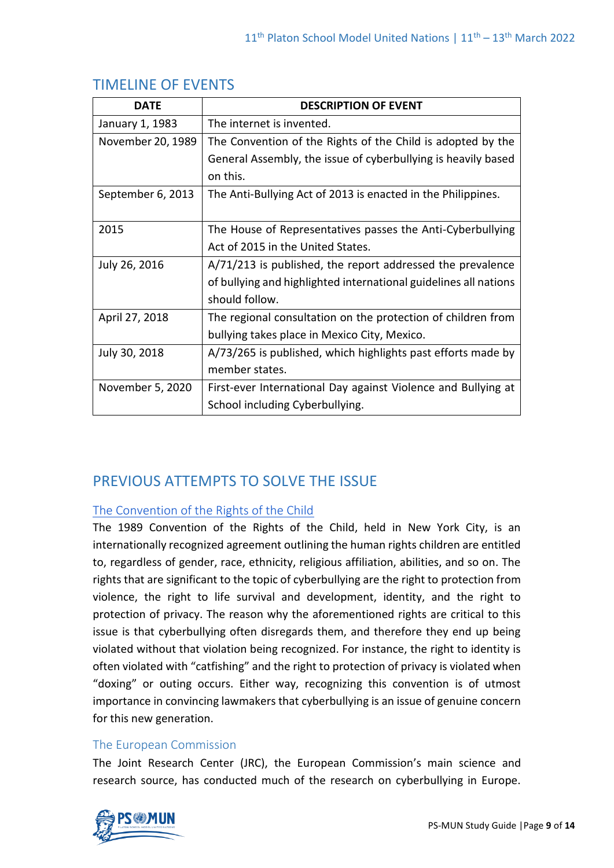| <b>DATE</b>       | <b>DESCRIPTION OF EVENT</b>                                      |
|-------------------|------------------------------------------------------------------|
| January 1, 1983   | The internet is invented.                                        |
| November 20, 1989 | The Convention of the Rights of the Child is adopted by the      |
|                   | General Assembly, the issue of cyberbullying is heavily based    |
|                   | on this.                                                         |
| September 6, 2013 | The Anti-Bullying Act of 2013 is enacted in the Philippines.     |
|                   |                                                                  |
| 2015              | The House of Representatives passes the Anti-Cyberbullying       |
|                   | Act of 2015 in the United States.                                |
| July 26, 2016     | A/71/213 is published, the report addressed the prevalence       |
|                   | of bullying and highlighted international guidelines all nations |
|                   | should follow.                                                   |
| April 27, 2018    | The regional consultation on the protection of children from     |
|                   | bullying takes place in Mexico City, Mexico.                     |
| July 30, 2018     | A/73/265 is published, which highlights past efforts made by     |
|                   | member states.                                                   |
| November 5, 2020  | First-ever International Day against Violence and Bullying at    |
|                   | School including Cyberbullying.                                  |

# TIMELINE OF EVENTS

# PREVIOUS ATTEMPTS TO SOLVE THE ISSUE

## [The Convention of the Rights of the Child](https://www.ohchr.org/en/professionalinterest/pages/crc.aspx)

The 1989 Convention of the Rights of the Child, held in New York City, is an internationally recognized agreement outlining the human rights children are entitled to, regardless of gender, race, ethnicity, religious affiliation, abilities, and so on. The rights that are significant to the topic of cyberbullying are the right to protection from violence, the right to life survival and development, identity, and the right to protection of privacy. The reason why the aforementioned rights are critical to this issue is that cyberbullying often disregards them, and therefore they end up being violated without that violation being recognized. For instance, the right to identity is often violated with "catfishing" and the right to protection of privacy is violated when "doxing" or outing occurs. Either way, recognizing this convention is of utmost importance in convincing lawmakers that cyberbullying is an issue of genuine concern for this new generation.

## The European Commission

The Joint Research Center (JRC), the European Commission's main science and research source, has conducted much of the research on cyberbullying in Europe.

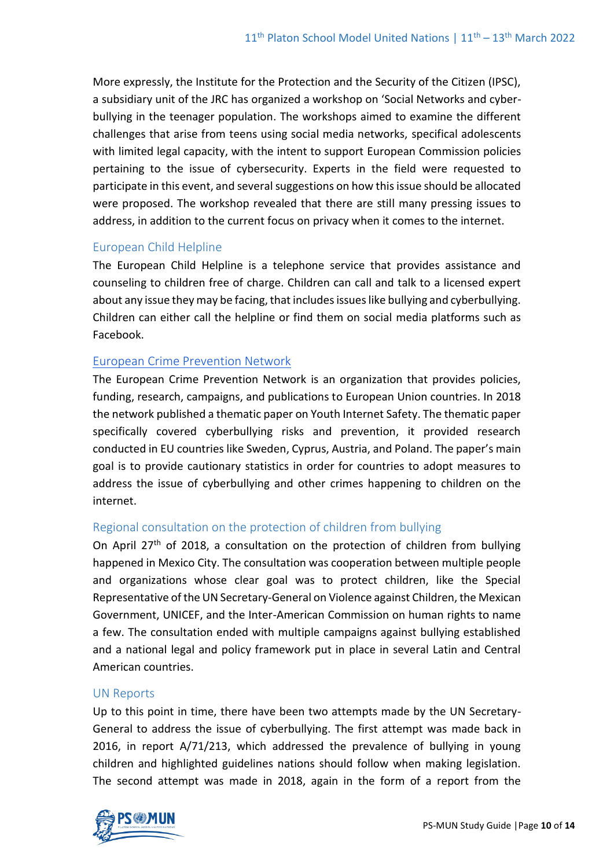More expressly, the Institute for the Protection and the Security of the Citizen (IPSC), a subsidiary unit of the JRC has organized a workshop on 'Social Networks and cyberbullying in the teenager population. The workshops aimed to examine the different challenges that arise from teens using social media networks, specifical adolescents with limited legal capacity, with the intent to support European Commission policies pertaining to the issue of cybersecurity. Experts in the field were requested to participate in this event, and several suggestions on how this issue should be allocated were proposed. The workshop revealed that there are still many pressing issues to address, in addition to the current focus on privacy when it comes to the internet.

#### European Child Helpline

The European Child Helpline is a telephone service that provides assistance and counseling to children free of charge. Children can call and talk to a licensed expert about any issue they may be facing, that includes issues like bullying and cyberbullying. Children can either call the helpline or find them on social media platforms such as Facebook.

#### [European Crime Prevention Network](https://eucpn.org/sites/default/files/document/files/thematic_paper_youth_internet_safety_0.pdf)

The European Crime Prevention Network is an organization that provides policies, funding, research, campaigns, and publications to European Union countries. In 2018 the network published a thematic paper on Youth Internet Safety. The thematic paper specifically covered cyberbullying risks and prevention, it provided research conducted in EU countries like Sweden, Cyprus, Austria, and Poland. The paper's main goal is to provide cautionary statistics in order for countries to adopt measures to address the issue of cyberbullying and other crimes happening to children on the internet.

#### Regional consultation on the protection of children from bullying

On April 27<sup>th</sup> of 2018, a consultation on the protection of children from bullying happened in Mexico City. The consultation was cooperation between multiple people and organizations whose clear goal was to protect children, like the Special Representative of the UN Secretary-General on Violence against Children, the Mexican Government, UNICEF, and the Inter-American Commission on human rights to name a few. The consultation ended with multiple campaigns against bullying established and a national legal and policy framework put in place in several Latin and Central American countries.

#### UN Reports

Up to this point in time, there have been two attempts made by the UN Secretary-General to address the issue of cyberbullying. The first attempt was made back in 2016, in report A/71/213, which addressed the prevalence of bullying in young children and highlighted guidelines nations should follow when making legislation. The second attempt was made in 2018, again in the form of a report from the

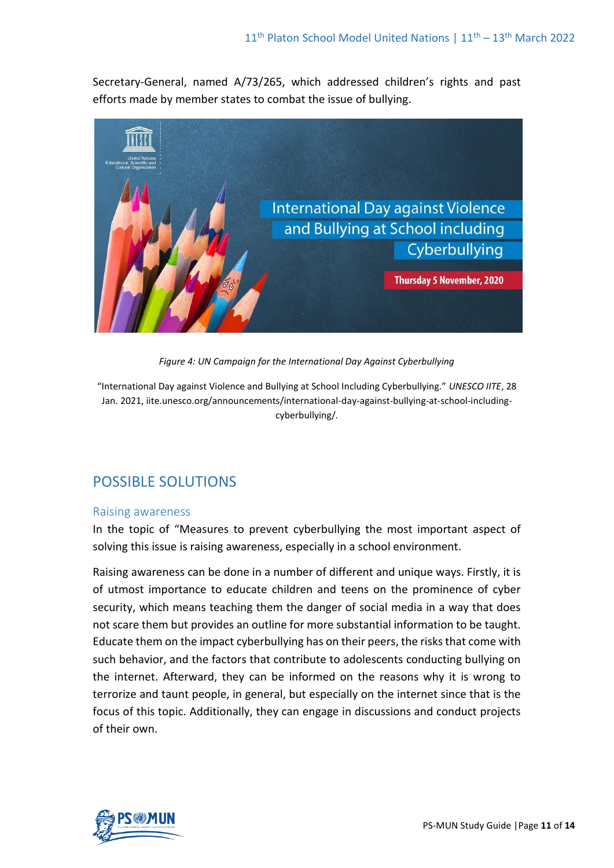Secretary-General, named A/73/265, which addressed children's rights and past efforts made by member states to combat the issue of bullying.



*Figure 4: UN Campaign for the International Day Against Cyberbullying* 

"International Day against Violence and Bullying at School Including Cyberbullying." *UNESCO IITE*, 28 Jan. 2021, iite.unesco.org/announcements/international-day-against-bullying-at-school-includingcyberbullying/.

# POSSIBLE SOLUTIONS

#### Raising awareness

In the topic of "Measures to prevent cyberbullying the most important aspect of solving this issue is raising awareness, especially in a school environment.

Raising awareness can be done in a number of different and unique ways. Firstly, it is of utmost importance to educate children and teens on the prominence of cyber security, which means teaching them the danger of social media in a way that does not scare them but provides an outline for more substantial information to be taught. Educate them on the impact cyberbullying has on their peers, the risks that come with such behavior, and the factors that contribute to adolescents conducting bullying on the internet. Afterward, they can be informed on the reasons why it is wrong to terrorize and taunt people, in general, but especially on the internet since that is the focus of this topic. Additionally, they can engage in discussions and conduct projects of their own.

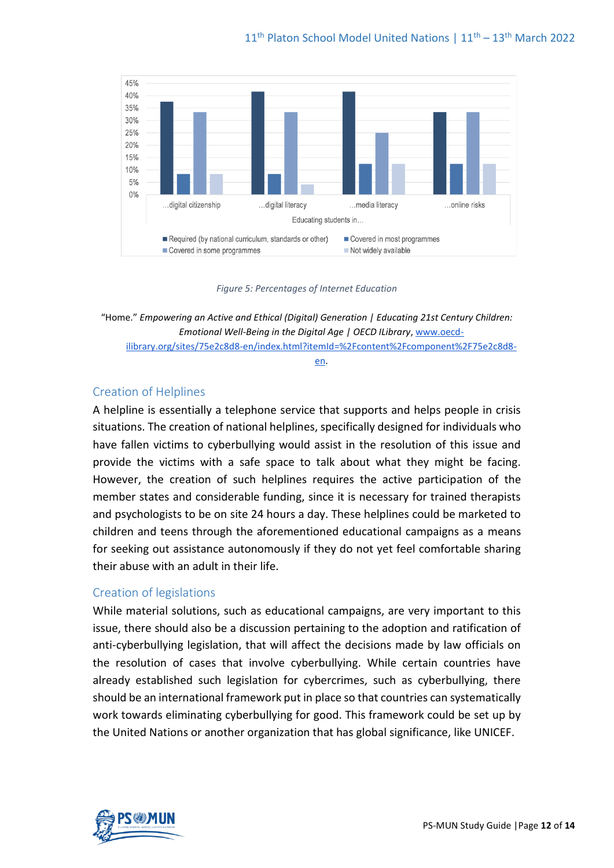

*Figure 5: Percentages of Internet Education*

[en.](http://www.oecd-ilibrary.org/sites/75e2c8d8-en/index.html?itemId=%2Fcontent%2Fcomponent%2F75e2c8d8-en)

#### Creation of Helplines

A helpline is essentially a telephone service that supports and helps people in crisis situations. The creation of national helplines, specifically designed for individuals who have fallen victims to cyberbullying would assist in the resolution of this issue and provide the victims with a safe space to talk about what they might be facing. However, the creation of such helplines requires the active participation of the member states and considerable funding, since it is necessary for trained therapists and psychologists to be on site 24 hours a day. These helplines could be marketed to children and teens through the aforementioned educational campaigns as a means for seeking out assistance autonomously if they do not yet feel comfortable sharing their abuse with an adult in their life.

#### Creation of legislations

While material solutions, such as educational campaigns, are very important to this issue, there should also be a discussion pertaining to the adoption and ratification of anti-cyberbullying legislation, that will affect the decisions made by law officials on the resolution of cases that involve cyberbullying. While certain countries have already established such legislation for cybercrimes, such as cyberbullying, there should be an international framework put in place so that countries can systematically work towards eliminating cyberbullying for good. This framework could be set up by the United Nations or another organization that has global significance, like UNICEF.



<sup>&</sup>quot;Home." *Empowering an Active and Ethical (Digital) Generation | Educating 21st Century Children: Emotional Well-Being in the Digital Age | OECD ILibrary*, [www.oecd](http://www.oecd-ilibrary.org/sites/75e2c8d8-en/index.html?itemId=%2Fcontent%2Fcomponent%2F75e2c8d8-en)[ilibrary.org/sites/75e2c8d8-en/index.html?itemId=%2Fcontent%2Fcomponent%2F75e2c8d8-](http://www.oecd-ilibrary.org/sites/75e2c8d8-en/index.html?itemId=%2Fcontent%2Fcomponent%2F75e2c8d8-en)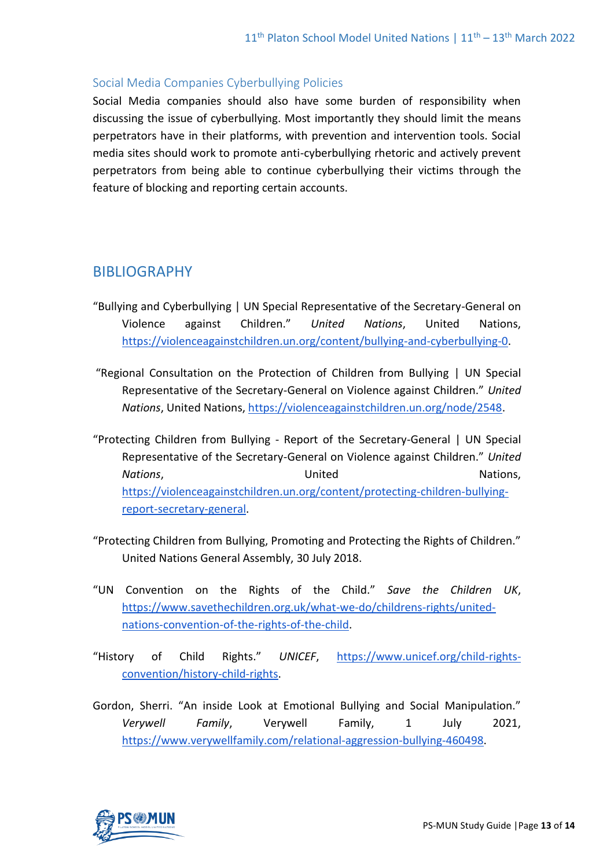### Social Media Companies Cyberbullying Policies

Social Media companies should also have some burden of responsibility when discussing the issue of cyberbullying. Most importantly they should limit the means perpetrators have in their platforms, with prevention and intervention tools. Social media sites should work to promote anti-cyberbullying rhetoric and actively prevent perpetrators from being able to continue cyberbullying their victims through the feature of blocking and reporting certain accounts.

# BIBLIOGRAPHY

- "Bullying and Cyberbullying | UN Special Representative of the Secretary-General on Violence against Children." *United Nations*, United Nations, [https://violenceagainstchildren.un.org/content/bullying-and-cyberbullying-0.](https://violenceagainstchildren.un.org/content/bullying-and-cyberbullying-0)
- "Regional Consultation on the Protection of Children from Bullying | UN Special Representative of the Secretary-General on Violence against Children." *United Nations*, United Nations, [https://violenceagainstchildren.un.org/node/2548.](https://violenceagainstchildren.un.org/node/2548)
- "Protecting Children from Bullying Report of the Secretary-General | UN Special Representative of the Secretary-General on Violence against Children." *United*  **Nations, Nations, Nations, Nations, Nations, Nations, Nations, Nations, Nations, Nations, Nations, Nations, Nations, Nations, Nations, Nations, National Nations, National National National National National National Natio** [https://violenceagainstchildren.un.org/content/protecting-children-bullying](https://violenceagainstchildren.un.org/content/protecting-children-bullying-report-secretary-general)[report-secretary-general.](https://violenceagainstchildren.un.org/content/protecting-children-bullying-report-secretary-general)
- "Protecting Children from Bullying, Promoting and Protecting the Rights of Children." United Nations General Assembly, 30 July 2018.
- "UN Convention on the Rights of the Child." *Save the Children UK*, [https://www.savethechildren.org.uk/what-we-do/childrens-rights/united](https://www.savethechildren.org.uk/what-we-do/childrens-rights/united-nations-convention-of-the-rights-of-the-child)[nations-convention-of-the-rights-of-the-child.](https://www.savethechildren.org.uk/what-we-do/childrens-rights/united-nations-convention-of-the-rights-of-the-child)
- "History of Child Rights." *UNICEF*, [https://www.unicef.org/child-rights](https://www.unicef.org/child-rights-convention/history-child-rights)[convention/history-child-rights.](https://www.unicef.org/child-rights-convention/history-child-rights)
- Gordon, Sherri. "An inside Look at Emotional Bullying and Social Manipulation." *Verywell Family*, Verywell Family, 1 July 2021, [https://www.verywellfamily.com/relational-aggression-bullying-460498.](https://www.verywellfamily.com/relational-aggression-bullying-460498)